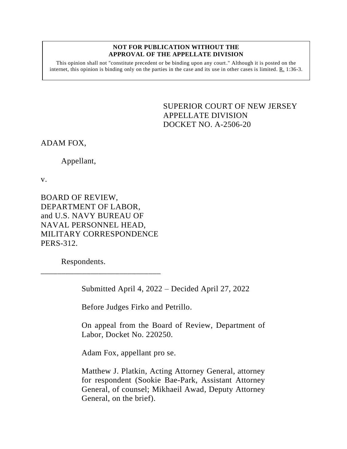#### **NOT FOR PUBLICATION WITHOUT THE APPROVAL OF THE APPELLATE DIVISION**

This opinion shall not "constitute precedent or be binding upon any court." Although it is posted on the internet, this opinion is binding only on the parties in the case and its use in other cases is limited.  $R_1$  1:36-3.

> <span id="page-0-0"></span>SUPERIOR COURT OF NEW JERSEY APPELLATE DIVISION DOCKET NO. A-2506-20

ADAM FOX,

Appellant,

v.

BOARD OF REVIEW, DEPARTMENT OF LABOR, and U.S. NAVY BUREAU OF NAVAL PERSONNEL HEAD, MILITARY CORRESPONDENCE PERS-312.

\_\_\_\_\_\_\_\_\_\_\_\_\_\_\_\_\_\_\_\_\_\_\_\_\_\_\_\_\_

Respondents.

Submitted April 4, 2022 – Decided April 27, 2022

Before Judges Firko and Petrillo.

On appeal from the Board of Review, Department of Labor, Docket No. 220250.

Adam Fox, appellant pro se.

Matthew J. Platkin, Acting Attorney General, attorney for respondent (Sookie Bae-Park, Assistant Attorney General, of counsel; Mikhaeil Awad, Deputy Attorney General, on the brief).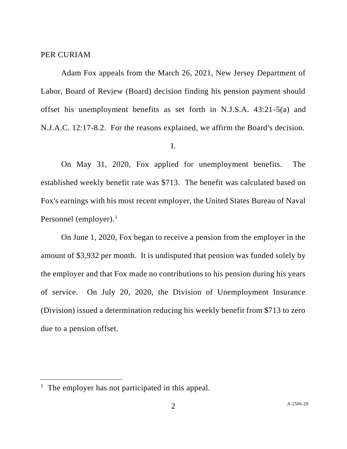## PER CURIAM

Adam Fox appeals from the March 26, 2021, New Jersey Department of Labor, Board of Review (Board) decision finding his pension payment should offset his unemployment benefits as set forth in N.J.S.A. 43:21-5(a) and N.J.A.C. 12:17-8.2. For the reasons explained, we affirm the Board's decision.

# I.

On May 31, 2020, Fox applied for unemployment benefits. The established weekly benefit rate was \$713. The benefit was calculated based on Fox's earnings with his most recent employer, the United States Bureau of Naval Personnel (employer). $<sup>1</sup>$ </sup>

On June 1, 2020, Fox began to receive a pension from the employer in the amount of \$3,932 per month. It is undisputed that pension was funded solely by the employer and that Fox made no contributions to his pension during his years of service. On July 20, 2020, the Division of Unemployment Insurance (Division) issued a determination reducing his weekly benefit from \$713 to zero due to a pension offset.

<sup>&</sup>lt;sup>1</sup> The employer has not participated in this appeal.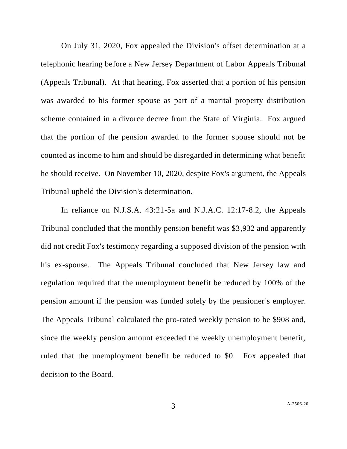On July 31, 2020, Fox appealed the Division's offset determination at a telephonic hearing before a New Jersey Department of Labor Appeals Tribunal (Appeals Tribunal). At that hearing, Fox asserted that a portion of his pension was awarded to his former spouse as part of a marital property distribution scheme contained in a divorce decree from the State of Virginia. Fox argued that the portion of the pension awarded to the former spouse should not be counted as income to him and should be disregarded in determining what benefit he should receive. On November 10, 2020, despite Fox's argument, the Appeals Tribunal upheld the Division's determination.

In reliance on N.J.S.A. 43:21-5a and N.J.A.C. 12:17-8.2, the Appeals Tribunal concluded that the monthly pension benefit was \$3,932 and apparently did not credit Fox's testimony regarding a supposed division of the pension with his ex-spouse. The Appeals Tribunal concluded that New Jersey law and regulation required that the unemployment benefit be reduced by 100% of the pension amount if the pension was funded solely by the pensioner's employer. The Appeals Tribunal calculated the pro-rated weekly pension to be \$908 and, since the weekly pension amount exceeded the weekly unemployment benefit, ruled that the unemployment benefit be reduced to \$0. Fox appealed that decision to the Board.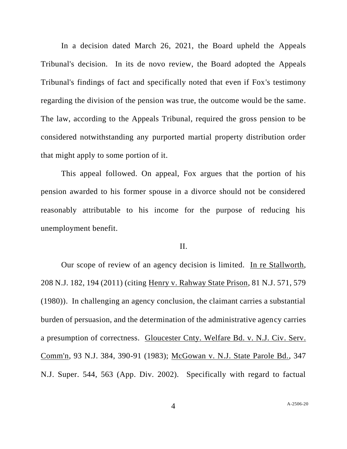In a decision dated March 26, 2021, the Board upheld the Appeals Tribunal's decision. In its de novo review, the Board adopted the Appeals Tribunal's findings of fact and specifically noted that even if Fox's testimony regarding the division of the pension was true, the outcome would be the same. The law, according to the Appeals Tribunal, required the gross pension to be considered notwithstanding any purported martial property distribution order that might apply to some portion of it.

This appeal followed. On appeal, Fox argues that the portion of his pension awarded to his former spouse in a divorce should not be considered reasonably attributable to his income for the purpose of reducing his unemployment benefit.

## II.

Our scope of review of an agency decision is limited. In re Stallworth, 208 N.J. 182, 194 (2011) (citing Henry v. Rahway State Prison, 81 N.J. 571, 579 (1980)). In challenging an agency conclusion, the claimant carries a substantial burden of persuasion, and the determination of the administrative agency carries a presumption of correctness. Gloucester Cnty. Welfare Bd. v. N.J. Civ. Serv. Comm'n, 93 N.J. 384, 390-91 (1983); McGowan v. N.J. State Parole Bd., 347 N.J. Super. 544, 563 (App. Div. 2002). Specifically with regard to factual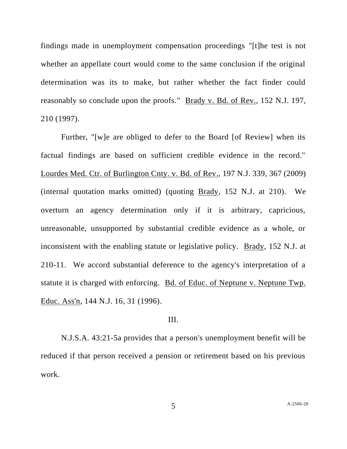findings made in unemployment compensation proceedings "[t]he test is not whether an appellate court would come to the same conclusion if the original determination was its to make, but rather whether the fact finder could reasonably so conclude upon the proofs." Brady v. Bd. of Rev., 152 N.J. 197, 210 (1997).

Further, "[w]e are obliged to defer to the Board [of Review] when its factual findings are based on sufficient credible evidence in the record." Lourdes Med. Ctr. of Burlington Cnty. v. Bd. of Rev., 197 N.J. 339, 367 (2009) (internal quotation marks omitted) (quoting Brady, 152 N.J. at 210). We overturn an agency determination only if it is arbitrary, capricious, unreasonable, unsupported by substantial credible evidence as a whole, or inconsistent with the enabling statute or legislative policy. Brady, 152 N.J. at 210-11. We accord substantial deference to the agency's interpretation of a statute it is charged with enforcing. Bd. of Educ. of Neptune v. Neptune Twp. Educ. Ass'n, 144 N.J. 16, 31 (1996).

# III.

N.J.S.A. 43:21-5a provides that a person's unemployment benefit will be reduced if that person received a pension or retirement based on his previous work.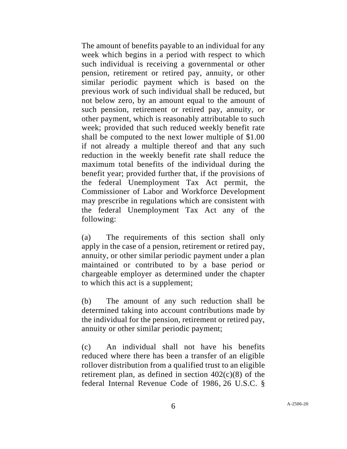The amount of benefits payable to an individual for any week which begins in a period with respect to which such individual is receiving a governmental or other pension, retirement or retired pay, annuity, or other similar periodic payment which is based on the previous work of such individual shall be reduced, but not below zero, by an amount equal to the amount of such pension, retirement or retired pay, annuity, or other payment, which is reasonably attributable to such week; provided that such reduced weekly benefit rate shall be computed to the next lower multiple of \$1.00 if not already a multiple thereof and that any such reduction in the weekly benefit rate shall reduce the maximum total benefits of the individual during the benefit year; provided further that, if the provisions of the federal Unemployment Tax Act permit, the Commissioner of Labor and Workforce Development may prescribe in regulations which are consistent with the federal Unemployment Tax Act any of the following:

(a) The requirements of this section shall only apply in the case of a pension, retirement or retired pay, annuity, or other similar periodic payment under a plan maintained or contributed to by a base period or chargeable employer as determined under the chapter to which this act is a supplement;

(b) The amount of any such reduction shall be determined taking into account contributions made by the individual for the pension, retirement or retired pay, annuity or other similar periodic payment;

(c)An individual shall not have his benefits reduced where there has been a transfer of an eligible rollover distribution from a qualified trust to an eligible retirement plan, as defined in section  $402(c)(8)$  of the [federal Internal Revenue Code of 1986,](https://advance.lexis.com/search/?pdmfid=1000516&crid=6dbc32dd-1714-4923-9488-3d2723feeb7d&pdsearchterms=NJSA+43%3A21-5a&pdtypeofsearch=searchboxclick&pdsearchtype=SearchBox&pdstartin=&pdpsf=&pdqttype=and&pdquerytemplateid=urn%3Aquerytemplate%3Ad57af7921baf7daf430b65b52c003dc5~%5ENJ&pdsf=&pdsourcetype=all&ecomp=8br5kkk&earg=pdsf&prid=8ab9547a-3a3d-40cb-9a91-61fb1cfb8fe3) [26 U.S.C. §](https://advance.lexis.com/search/?pdmfid=1000516&crid=6dbc32dd-1714-4923-9488-3d2723feeb7d&pdsearchterms=NJSA+43%3A21-5a&pdtypeofsearch=searchboxclick&pdsearchtype=SearchBox&pdstartin=&pdpsf=&pdqttype=and&pdquerytemplateid=urn%3Aquerytemplate%3Ad57af7921baf7daf430b65b52c003dc5~%5ENJ&pdsf=&pdsourcetype=all&ecomp=8br5kkk&earg=pdsf&prid=8ab9547a-3a3d-40cb-9a91-61fb1cfb8fe3)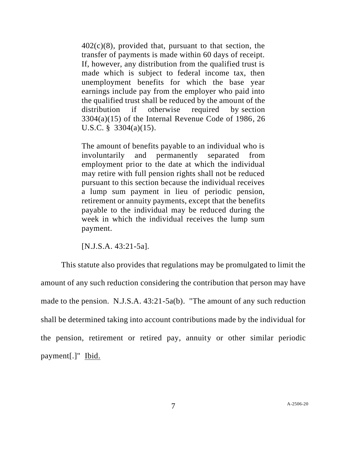$402(c)(8)$ , provided that, pursuant to that section, the transfer of payments is made within 60 days of receipt. If, however, any distribution from the qualified trust is made which is subject to federal income tax, then unemployment benefits for which the base year earnings include pay from the employer who paid into the qualified trust shall be reduced by the amount of the distribution if otherwise required by [section](https://advance.lexis.com/search/?pdmfid=1000516&crid=6dbc32dd-1714-4923-9488-3d2723feeb7d&pdsearchterms=NJSA+43%3A21-5a&pdtypeofsearch=searchboxclick&pdsearchtype=SearchBox&pdstartin=&pdpsf=&pdqttype=and&pdquerytemplateid=urn%3Aquerytemplate%3Ad57af7921baf7daf430b65b52c003dc5~%5ENJ&pdsf=&pdsourcetype=all&ecomp=8br5kkk&earg=pdsf&prid=8ab9547a-3a3d-40cb-9a91-61fb1cfb8fe3)   $3304(a)(15)$  of the Internal Revenue Code of 1986, 26 U.S.C. § [3304\(a\)\(15\).](https://advance.lexis.com/search/?pdmfid=1000516&crid=6dbc32dd-1714-4923-9488-3d2723feeb7d&pdsearchterms=NJSA+43%3A21-5a&pdtypeofsearch=searchboxclick&pdsearchtype=SearchBox&pdstartin=&pdpsf=&pdqttype=and&pdquerytemplateid=urn%3Aquerytemplate%3Ad57af7921baf7daf430b65b52c003dc5~%5ENJ&pdsf=&pdsourcetype=all&ecomp=8br5kkk&earg=pdsf&prid=8ab9547a-3a3d-40cb-9a91-61fb1cfb8fe3)

The amount of benefits payable to an individual who is involuntarily and permanently separated from employment prior to the date at which the individual may retire with full pension rights shall not be reduced pursuant to this section because the individual receives a lump sum payment in lieu of periodic pension, retirement or annuity payments, except that the benefits payable to the individual may be reduced during the week in which the individual receives the lump sum payment.

[N.J.S.A. 43:21-5a].

This statute also provides that regulations may be promulgated to limit the amount of any such reduction considering the contribution that person may have made to the pension. N.J.S.A. 43:21-5a(b)."The amount of any such reduction shall be determined taking into account contributions made by the individual for the pension, retirement or retired pay, annuity or other similar periodic payment[.]" Ibid.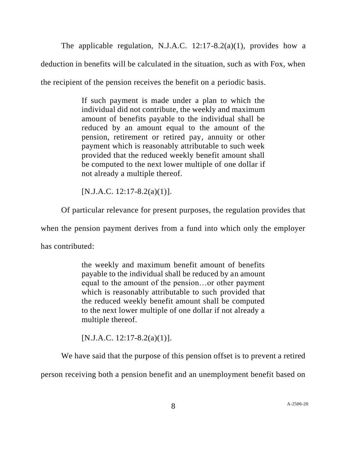The applicable regulation, N.J.A.C. 12:17-8.2(a)(1), provides how a deduction in benefits will be calculated in the situation, such as with Fox, when the recipient of the pension receives the benefit on a periodic basis.

> If such payment is made under a plan to which the individual did not contribute, the weekly and maximum amount of benefits payable to the individual shall be reduced by an amount equal to the amount of the pension, retirement or retired pay, annuity or other payment which is reasonably attributable to such week provided that the reduced weekly benefit amount shall be computed to the next lower multiple of one dollar if not already a multiple thereof.

 $[N.J.A.C. 12:17-8.2(a)(1)].$ 

Of particular relevance for present purposes, the regulation provides that

when the pension payment derives from a fund into which only the employer

has contributed:

the weekly and maximum benefit amount of benefits payable to the individual shall be reduced by an amount equal to the amount of the pension…or other payment which is reasonably attributable to such provided that the reduced weekly benefit amount shall be computed to the next lower multiple of one dollar if not already a multiple thereof.

 $[N.J.A.C. 12:17-8.2(a)(1)].$ 

We have said that the purpose of this pension offset is to prevent a retired

person receiving both a pension benefit and an unemployment benefit based on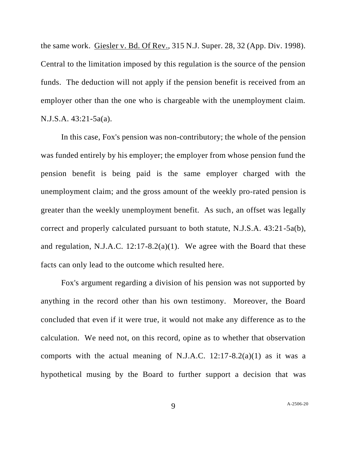the same work. Giesler v. Bd. Of Rev., 315 N.J. Super. 28, 32 (App. Div. 1998). Central to the limitation imposed by this regulation is the source of the pension funds. The deduction will not apply if the pension benefit is received from an employer other than the one who is chargeable with the unemployment claim. N.J.S.A. 43:21-5a(a).

In this case, Fox's pension was non-contributory; the whole of the pension was funded entirely by his employer; the employer from whose pension fund the pension benefit is being paid is the same employer charged with the unemployment claim; and the gross amount of the weekly pro-rated pension is greater than the weekly unemployment benefit. As such, an offset was legally correct and properly calculated pursuant to both statute, N.J.S.A. 43:21-5a(b), and regulation, N.J.A.C. 12:17-8.2(a)(1). We agree with the Board that these facts can only lead to the outcome which resulted here.

Fox's argument regarding a division of his pension was not supported by anything in the record other than his own testimony. Moreover, the Board concluded that even if it were true, it would not make any difference as to the calculation. We need not, on this record, opine as to whether that observation comports with the actual meaning of N.J.A.C.  $12:17-8.2(a)(1)$  as it was a hypothetical musing by the Board to further support a decision that was